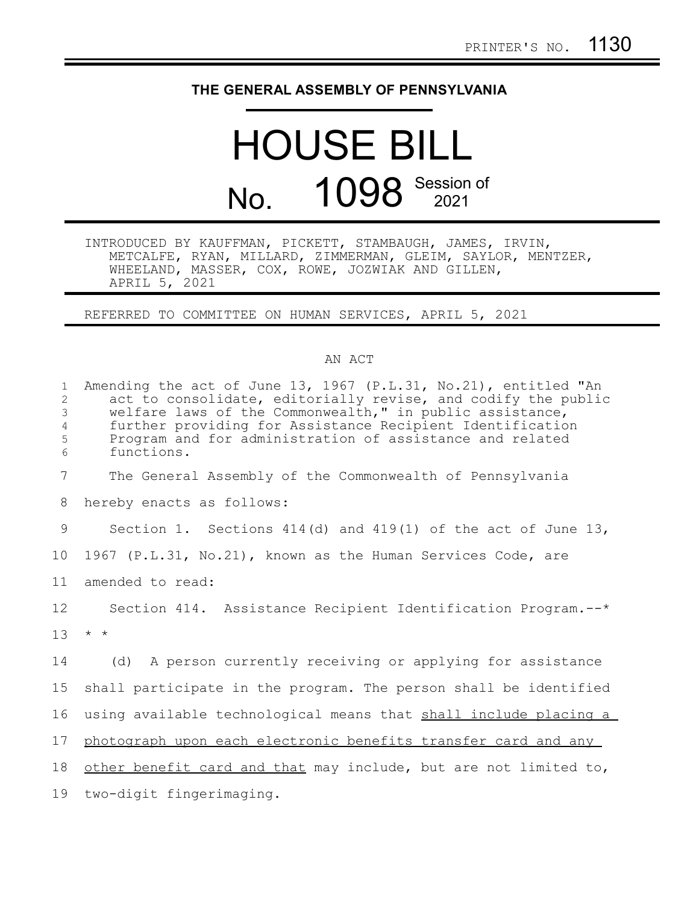## **THE GENERAL ASSEMBLY OF PENNSYLVANIA**

## HOUSE BILL No. 1098 Session of

INTRODUCED BY KAUFFMAN, PICKETT, STAMBAUGH, JAMES, IRVIN, METCALFE, RYAN, MILLARD, ZIMMERMAN, GLEIM, SAYLOR, MENTZER, WHEELAND, MASSER, COX, ROWE, JOZWIAK AND GILLEN, APRIL 5, 2021

REFERRED TO COMMITTEE ON HUMAN SERVICES, APRIL 5, 2021

## AN ACT

| $\mathbf{1}$<br>$\overline{c}$<br>3<br>$\overline{4}$<br>5<br>6 | Amending the act of June 13, 1967 (P.L.31, No.21), entitled "An<br>act to consolidate, editorially revise, and codify the public<br>welfare laws of the Commonwealth," in public assistance,<br>further providing for Assistance Recipient Identification<br>Program and for administration of assistance and related<br>functions. |
|-----------------------------------------------------------------|-------------------------------------------------------------------------------------------------------------------------------------------------------------------------------------------------------------------------------------------------------------------------------------------------------------------------------------|
| $7\phantom{.0}$                                                 | The General Assembly of the Commonwealth of Pennsylvania                                                                                                                                                                                                                                                                            |
| 8                                                               | hereby enacts as follows:                                                                                                                                                                                                                                                                                                           |
| 9                                                               | Section 1. Sections 414(d) and 419(1) of the act of June 13,                                                                                                                                                                                                                                                                        |
| 10 <sub>o</sub>                                                 | 1967 (P.L.31, No.21), known as the Human Services Code, are                                                                                                                                                                                                                                                                         |
| 11                                                              | amended to read:                                                                                                                                                                                                                                                                                                                    |
| $12 \,$                                                         | Section 414. Assistance Recipient Identification Program.--*                                                                                                                                                                                                                                                                        |
| 13 <sup>°</sup>                                                 | $\star$ $\star$                                                                                                                                                                                                                                                                                                                     |
| 14                                                              | (d) A person currently receiving or applying for assistance                                                                                                                                                                                                                                                                         |
| 15                                                              | shall participate in the program. The person shall be identified                                                                                                                                                                                                                                                                    |
| 16                                                              | using available technological means that shall include placing a                                                                                                                                                                                                                                                                    |
| 17                                                              | photograph upon each electronic benefits transfer card and any                                                                                                                                                                                                                                                                      |
| 18                                                              | other benefit card and that may include, but are not limited to,                                                                                                                                                                                                                                                                    |
| 19                                                              | two-digit fingerimaging.                                                                                                                                                                                                                                                                                                            |